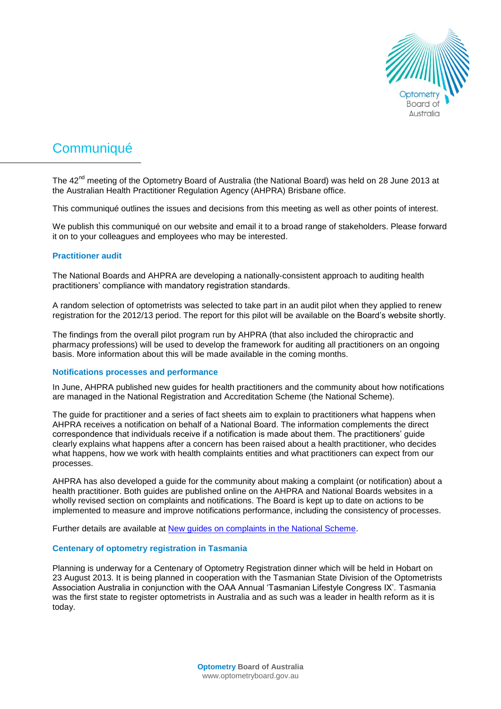

# **Communiqué**

The 42<sup>nd</sup> meeting of the Optometry Board of Australia (the National Board) was held on 28 June 2013 at the Australian Health Practitioner Regulation Agency (AHPRA) Brisbane office.

This communiqué outlines the issues and decisions from this meeting as well as other points of interest.

We publish this communiqué on our website and email it to a broad range of stakeholders. Please forward it on to your colleagues and employees who may be interested.

## **Practitioner audit**

The National Boards and AHPRA are developing a nationally-consistent approach to auditing health practitioners' compliance with mandatory registration standards.

A random selection of optometrists was selected to take part in an audit pilot when they applied to renew registration for the 2012/13 period. The report for this pilot will be available on the Board's website shortly.

The findings from the overall pilot program run by AHPRA (that also included the chiropractic and pharmacy professions) will be used to develop the framework for auditing all practitioners on an ongoing basis. More information about this will be made available in the coming months.

#### **Notifications processes and performance**

In June, AHPRA published new guides for health practitioners and the community about how notifications are managed in the National Registration and Accreditation Scheme (the National Scheme).

The guide for practitioner and a series of fact sheets aim to explain to practitioners what happens when AHPRA receives a notification on behalf of a National Board. The information complements the direct correspondence that individuals receive if a notification is made about them. The practitioners' guide clearly explains what happens after a concern has been raised about a health practitioner, who decides what happens, how we work with health complaints entities and what practitioners can expect from our processes.

AHPRA has also developed a guide for the community about making a complaint (or notification) about a health practitioner. Both guides are published online on the AHPRA and National Boards websites in a wholly revised section on complaints and notifications. The Board is kept up to date on actions to be implemented to measure and improve notifications performance, including the consistency of processes.

Further details are available at [New guides on complaints in the National Scheme.](http://www.ahpra.gov.au/News/2012-06-11-media-release.aspx)

#### **Centenary of optometry registration in Tasmania**

Planning is underway for a Centenary of Optometry Registration dinner which will be held in Hobart on 23 August 2013. It is being planned in cooperation with the Tasmanian State Division of the Optometrists Association Australia in conjunction with the OAA Annual 'Tasmanian Lifestyle Congress IX'. Tasmania was the first state to register optometrists in Australia and as such was a leader in health reform as it is today.